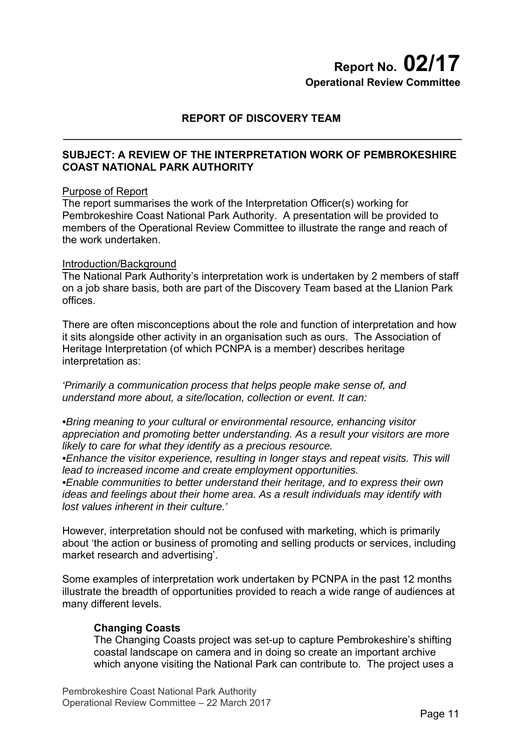# **Report No. 02/17 Operational Review Committee**

## **REPORT OF DISCOVERY TEAM**

## **SUBJECT: A REVIEW OF THE INTERPRETATION WORK OF PEMBROKESHIRE COAST NATIONAL PARK AUTHORITY**

#### Purpose of Report

The report summarises the work of the Interpretation Officer(s) working for Pembrokeshire Coast National Park Authority. A presentation will be provided to members of the Operational Review Committee to illustrate the range and reach of the work undertaken.

#### Introduction/Background

The National Park Authority's interpretation work is undertaken by 2 members of staff on a job share basis, both are part of the Discovery Team based at the Llanion Park offices.

There are often misconceptions about the role and function of interpretation and how it sits alongside other activity in an organisation such as ours. The Association of Heritage Interpretation (of which PCNPA is a member) describes heritage interpretation as:

*'Primarily a communication process that helps people make sense of, and understand more about, a site/location, collection or event. It can:* 

*•Bring meaning to your cultural or environmental resource, enhancing visitor appreciation and promoting better understanding. As a result your visitors are more likely to care for what they identify as a precious resource.* 

*•Enhance the visitor experience, resulting in longer stays and repeat visits. This will lead to increased income and create employment opportunities.* 

*•Enable communities to better understand their heritage, and to express their own ideas and feelings about their home area. As a result individuals may identify with lost values inherent in their culture.'* 

However, interpretation should not be confused with marketing, which is primarily about 'the action or business of promoting and selling products or services, including market research and advertising'.

Some examples of interpretation work undertaken by PCNPA in the past 12 months illustrate the breadth of opportunities provided to reach a wide range of audiences at many different levels.

## **Changing Coasts**

The Changing Coasts project was set-up to capture Pembrokeshire's shifting coastal landscape on camera and in doing so create an important archive which anyone visiting the National Park can contribute to. The project uses a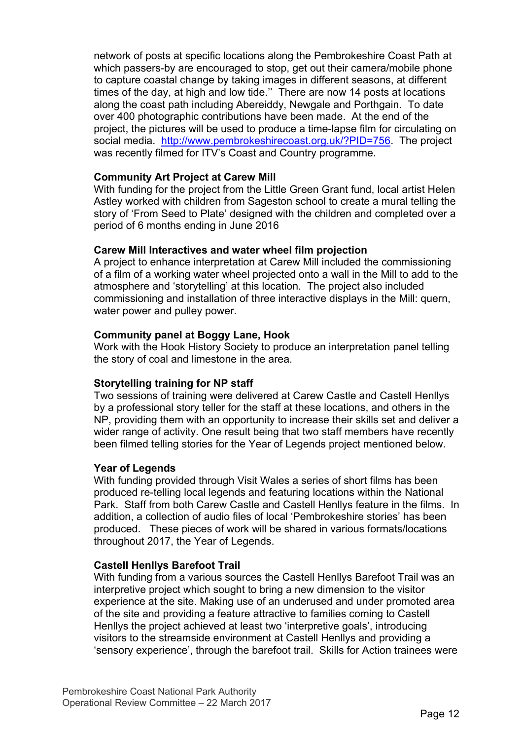network of posts at specific locations along the Pembrokeshire Coast Path at which passers-by are encouraged to stop, get out their camera/mobile phone to capture coastal change by taking images in different seasons, at different times of the day, at high and low tide.'' There are now 14 posts at locations along the coast path including Abereiddy, Newgale and Porthgain. To date over 400 photographic contributions have been made. At the end of the project, the pictures will be used to produce a time-lapse film for circulating on social media. http://www.pembrokeshirecoast.org.uk/?PID=756. The project was recently filmed for ITV's Coast and Country programme.

## **Community Art Project at Carew Mill**

With funding for the project from the Little Green Grant fund, local artist Helen Astley worked with children from Sageston school to create a mural telling the story of 'From Seed to Plate' designed with the children and completed over a period of 6 months ending in June 2016

## **Carew Mill Interactives and water wheel film projection**

A project to enhance interpretation at Carew Mill included the commissioning of a film of a working water wheel projected onto a wall in the Mill to add to the atmosphere and 'storytelling' at this location. The project also included commissioning and installation of three interactive displays in the Mill: quern, water power and pulley power.

## **Community panel at Boggy Lane, Hook**

Work with the Hook History Society to produce an interpretation panel telling the story of coal and limestone in the area.

## **Storytelling training for NP staff**

Two sessions of training were delivered at Carew Castle and Castell Henllys by a professional story teller for the staff at these locations, and others in the NP, providing them with an opportunity to increase their skills set and deliver a wider range of activity. One result being that two staff members have recently been filmed telling stories for the Year of Legends project mentioned below.

## **Year of Legends**

With funding provided through Visit Wales a series of short films has been produced re-telling local legends and featuring locations within the National Park. Staff from both Carew Castle and Castell Henllys feature in the films. In addition, a collection of audio files of local 'Pembrokeshire stories' has been produced. These pieces of work will be shared in various formats/locations throughout 2017, the Year of Legends.

## **Castell Henllys Barefoot Trail**

With funding from a various sources the Castell Henllys Barefoot Trail was an interpretive project which sought to bring a new dimension to the visitor experience at the site. Making use of an underused and under promoted area of the site and providing a feature attractive to families coming to Castell Henllys the project achieved at least two 'interpretive goals', introducing visitors to the streamside environment at Castell Henllys and providing a 'sensory experience', through the barefoot trail. Skills for Action trainees were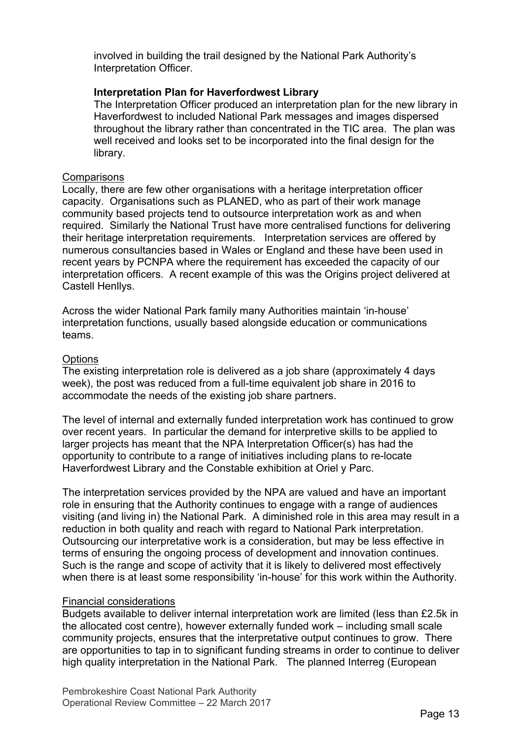involved in building the trail designed by the National Park Authority's Interpretation Officer.

### **Interpretation Plan for Haverfordwest Library**

The Interpretation Officer produced an interpretation plan for the new library in Haverfordwest to included National Park messages and images dispersed throughout the library rather than concentrated in the TIC area. The plan was well received and looks set to be incorporated into the final design for the library.

#### **Comparisons**

Locally, there are few other organisations with a heritage interpretation officer capacity. Organisations such as PLANED, who as part of their work manage community based projects tend to outsource interpretation work as and when required. Similarly the National Trust have more centralised functions for delivering their heritage interpretation requirements. Interpretation services are offered by numerous consultancies based in Wales or England and these have been used in recent years by PCNPA where the requirement has exceeded the capacity of our interpretation officers. A recent example of this was the Origins project delivered at Castell Henllys.

Across the wider National Park family many Authorities maintain 'in-house' interpretation functions, usually based alongside education or communications teams.

#### **Options**

The existing interpretation role is delivered as a job share (approximately 4 days week), the post was reduced from a full-time equivalent job share in 2016 to accommodate the needs of the existing job share partners.

The level of internal and externally funded interpretation work has continued to grow over recent years. In particular the demand for interpretive skills to be applied to larger projects has meant that the NPA Interpretation Officer(s) has had the opportunity to contribute to a range of initiatives including plans to re-locate Haverfordwest Library and the Constable exhibition at Oriel y Parc.

The interpretation services provided by the NPA are valued and have an important role in ensuring that the Authority continues to engage with a range of audiences visiting (and living in) the National Park. A diminished role in this area may result in a reduction in both quality and reach with regard to National Park interpretation. Outsourcing our interpretative work is a consideration, but may be less effective in terms of ensuring the ongoing process of development and innovation continues. Such is the range and scope of activity that it is likely to delivered most effectively when there is at least some responsibility 'in-house' for this work within the Authority.

#### Financial considerations

Budgets available to deliver internal interpretation work are limited (less than £2.5k in the allocated cost centre), however externally funded work – including small scale community projects, ensures that the interpretative output continues to grow. There are opportunities to tap in to significant funding streams in order to continue to deliver high quality interpretation in the National Park. The planned Interreg (European